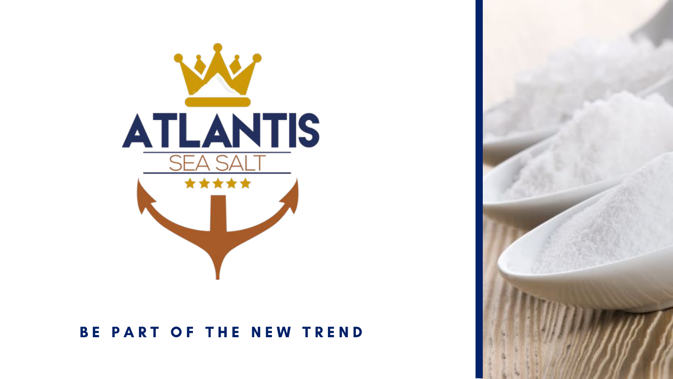

#### BE PART OF THE NEW TREND

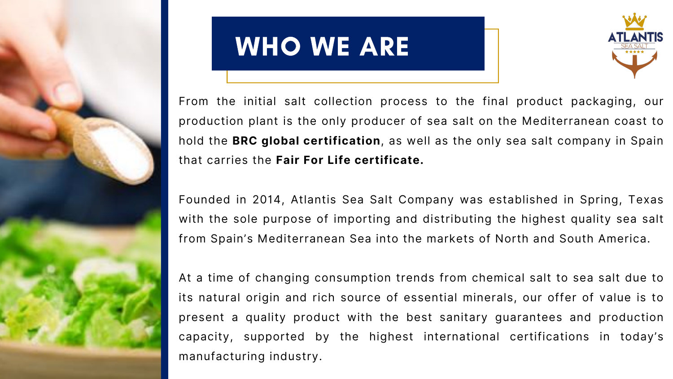

# WHO WE ARE

From the initial salt collection process to the final product packaging, our production plant is the only producer of sea salt on the Mediterranean coast to hold the **BRC global certification**, as well as the only sea salt company in Spain that carries the **Fair For Life certificate.**

Founded in 2014, Atlantis Sea Salt Company was established in Spring, Texas with the sole purpose of importing and distributing the highest quality sea salt from Spain's Mediterranean Sea into the markets of North and South America.

At a time of changing consumption trends from chemical salt to sea salt due to its natural origin and rich source of essential minerals, our offer of value is to present a quality product with the best sanitary guarantees and production capacity, supported by the highest international certifications in today's manufacturing industry.



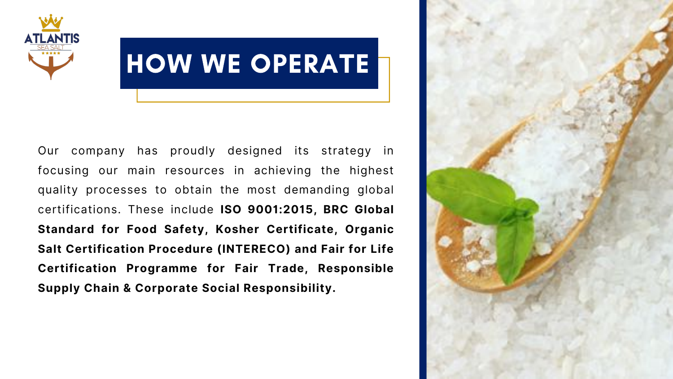

# HOW WE OPERATE

Our company has proudly designed its strategy in focusing our main resources in achieving the highest quality processes to obtain the most demanding global certifications. These include **ISO 9001:2015, BRC Global Standard for Food Safety, Kosher Certificate, Organic Salt Certification Procedure (INTERECO) and Fair for Life Certification Programme for Fair Trade, Responsible Supply Chain & Corporate Social Responsibility.**

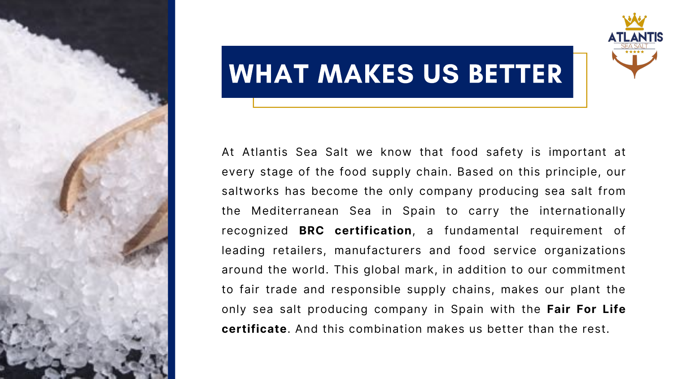

#### WHAT MAKES US BETTER

At Atlantis Sea Salt we know that food safety is important at every stage of the food supply chain. Based on this principle, our saltworks has become the only company producing sea salt from the Mediterranean Sea in Spain to carry the internationally recognized **BRC certification**, a fundamental requirement of leading retailers, manufacturers and food service organizations around the world. This global mark, in addition to our commitment to fair trade and responsible supply chains, makes our plant the only sea salt producing company in Spain with the **Fair For Life certificate**. And this combination makes us better than the rest.

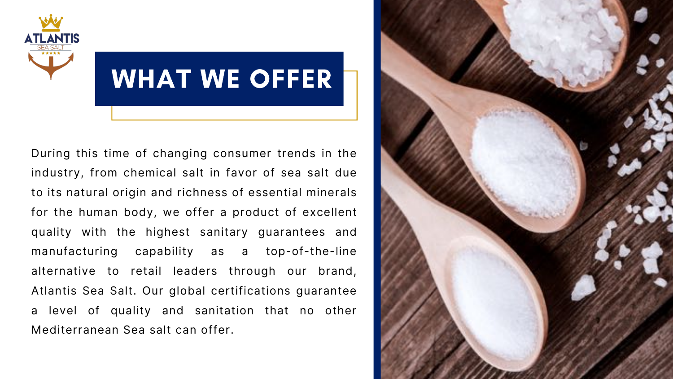

# WHAT WE OFFER

During this time of changing consumer trends in the industry, from chemical salt in favor of sea salt due to its natural origin and richness of essential minerals for the human body, we offer a product of excellent quality with the highest sanitary guarantees and manufacturing capability as a top-of-the-line alternative to retail leaders through our brand, Atlantis Sea Salt. Our global certifications guarantee a level of quality and sanitation that no other Mediterranean Sea salt can offer.

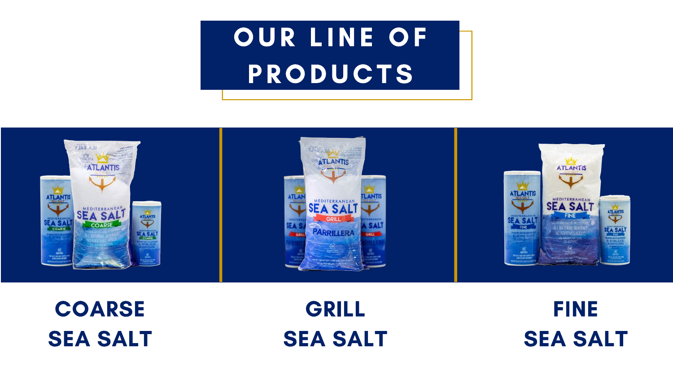# OUR LINE OF PRODUCTS



#### COARSE **SEA SALT**

#### GRILL **SEA SALT**





#### **FINE SEA SALT**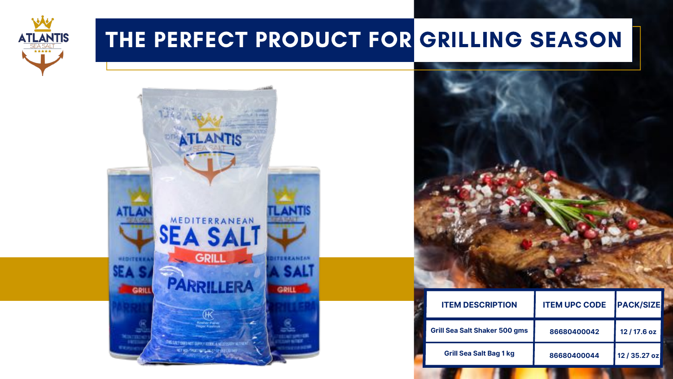

#### THE PERFECT PRODUCT FOR GRILLING SEASON



| <b>ITEM DESCRIPTION</b>              | <b>ITEM UPC CODE</b> | <b>PACK/SIZE</b> |
|--------------------------------------|----------------------|------------------|
| <b>Grill Sea Salt Shaker 500 gms</b> | 86680400042          | 12 / 17.6 oz     |
| <b>Grill Sea Salt Bag 1 kg</b>       | 86680400044          | 12 / 35.27 oz    |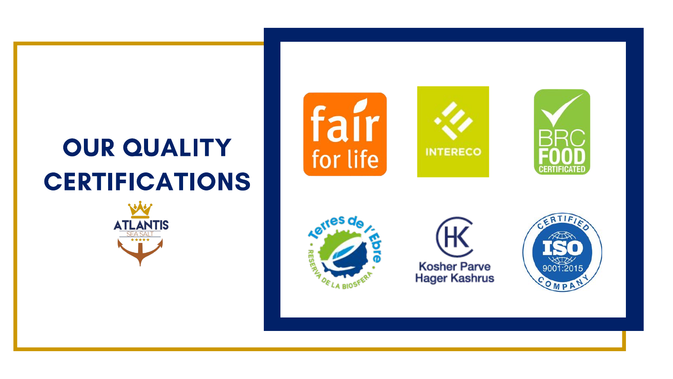## OUR QUALITY CERTIFICATIONS













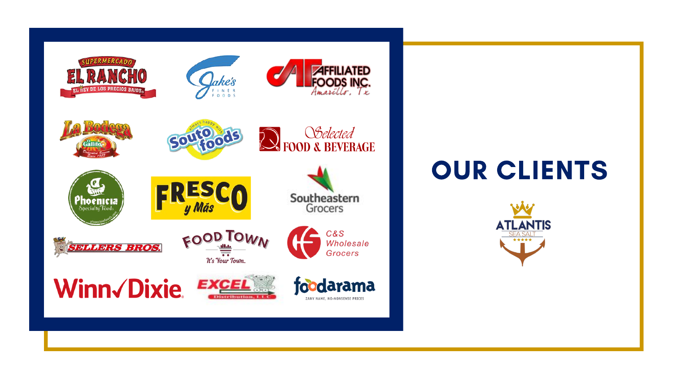

#### OUR CLIENTS